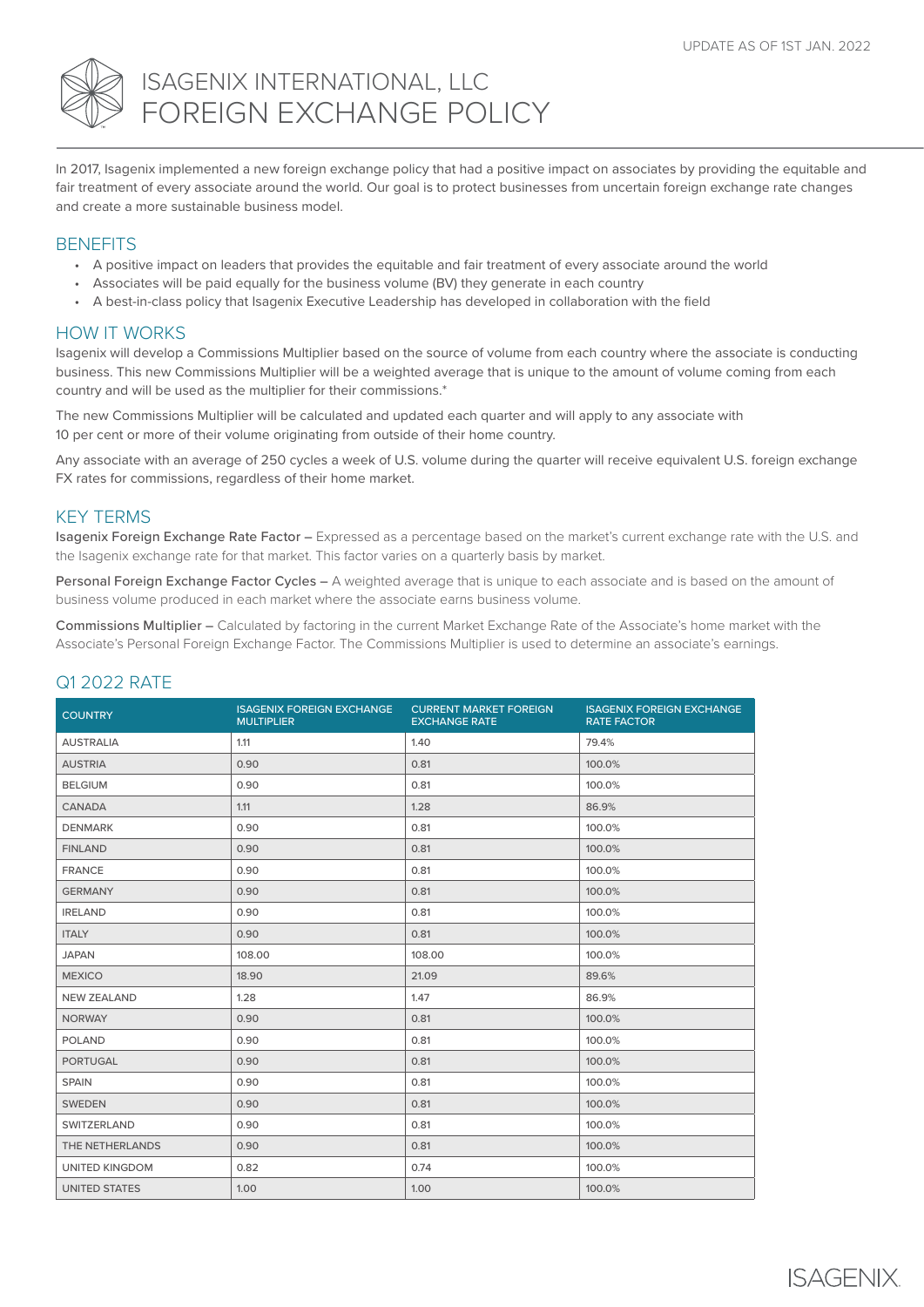

# ISAGENIX INTERNATIONAL, LLC FOREIGN EXCHANGE POLICY

In 2017, Isagenix implemented a new foreign exchange policy that had a positive impact on associates by providing the equitable and fair treatment of every associate around the world. Our goal is to protect businesses from uncertain foreign exchange rate changes and create a more sustainable business model.

### **BENEFITS**

- A positive impact on leaders that provides the equitable and fair treatment of every associate around the world
- Associates will be paid equally for the business volume (BV) they generate in each country
- A best-in-class policy that Isagenix Executive Leadership has developed in collaboration with the field

## HOW IT WORKS

Isagenix will develop a Commissions Multiplier based on the source of volume from each country where the associate is conducting business. This new Commissions Multiplier will be a weighted average that is unique to the amount of volume coming from each country and will be used as the multiplier for their commissions.\*

The new Commissions Multiplier will be calculated and updated each quarter and will apply to any associate with 10 per cent or more of their volume originating from outside of their home country.

Any associate with an average of 250 cycles a week of U.S. volume during the quarter will receive equivalent U.S. foreign exchange FX rates for commissions, regardless of their home market.

## KEY TERMS

Isagenix Foreign Exchange Rate Factor – Expressed as a percentage based on the market's current exchange rate with the U.S. and the Isagenix exchange rate for that market. This factor varies on a quarterly basis by market.

Personal Foreign Exchange Factor Cycles – A weighted average that is unique to each associate and is based on the amount of business volume produced in each market where the associate earns business volume.

Commissions Multiplier – Calculated by factoring in the current Market Exchange Rate of the Associate's home market with the Associate's Personal Foreign Exchange Factor. The Commissions Multiplier is used to determine an associate's earnings.

## Q1 2022 RATE

| <b>COUNTRY</b>        | <b>ISAGENIX FOREIGN EXCHANGE</b><br><b>MULTIPLIER</b> | <b>CURRENT MARKET FOREIGN</b><br><b>EXCHANGE RATE</b> | <b>ISAGENIX FOREIGN EXCHANGE</b><br><b>RATE FACTOR</b> |  |
|-----------------------|-------------------------------------------------------|-------------------------------------------------------|--------------------------------------------------------|--|
| <b>AUSTRALIA</b>      | 1.11                                                  | 1.40                                                  | 79.4%                                                  |  |
| <b>AUSTRIA</b>        | 0.90                                                  | 0.81                                                  | 100.0%                                                 |  |
| <b>BELGIUM</b>        | 0.90                                                  | 0.81                                                  | 100.0%                                                 |  |
| <b>CANADA</b>         | 1.11                                                  | 1.28                                                  | 86.9%                                                  |  |
| <b>DENMARK</b>        | 0.90                                                  | 0.81                                                  | 100.0%                                                 |  |
| <b>FINLAND</b>        | 0.90                                                  | 0.81                                                  | 100.0%                                                 |  |
| <b>FRANCE</b>         | 0.90                                                  | 0.81                                                  | 100.0%                                                 |  |
| <b>GERMANY</b>        | 0.90                                                  | 0.81                                                  | 100.0%                                                 |  |
| <b>IRELAND</b>        | 0.90                                                  | 0.81                                                  | 100.0%                                                 |  |
| <b>ITALY</b>          | 0.90                                                  | 0.81                                                  | 100.0%                                                 |  |
| <b>JAPAN</b>          | 108.00                                                | 108.00                                                | 100.0%                                                 |  |
| <b>MEXICO</b>         | 18.90                                                 | 21.09                                                 | 89.6%                                                  |  |
| <b>NEW ZEALAND</b>    | 1.28                                                  | 1.47                                                  | 86.9%                                                  |  |
| <b>NORWAY</b>         | 0.90                                                  | 0.81                                                  | 100.0%                                                 |  |
| <b>POLAND</b>         | 0.90                                                  | 0.81                                                  | 100.0%                                                 |  |
| <b>PORTUGAL</b>       | 0.90                                                  | 0.81                                                  | 100.0%                                                 |  |
| <b>SPAIN</b>          | 0.90                                                  | 0.81                                                  | 100.0%                                                 |  |
| <b>SWEDEN</b>         | 0.90                                                  | 0.81                                                  | 100.0%                                                 |  |
| <b>SWITZERLAND</b>    | 0.90                                                  | 0.81                                                  | 100.0%                                                 |  |
| THE NETHERLANDS       | 0.90                                                  | 0.81                                                  | 100.0%                                                 |  |
| <b>UNITED KINGDOM</b> | 0.82                                                  | 0.74                                                  | 100.0%                                                 |  |
| <b>UNITED STATES</b>  | 1.00                                                  | 1.00                                                  | 100.0%                                                 |  |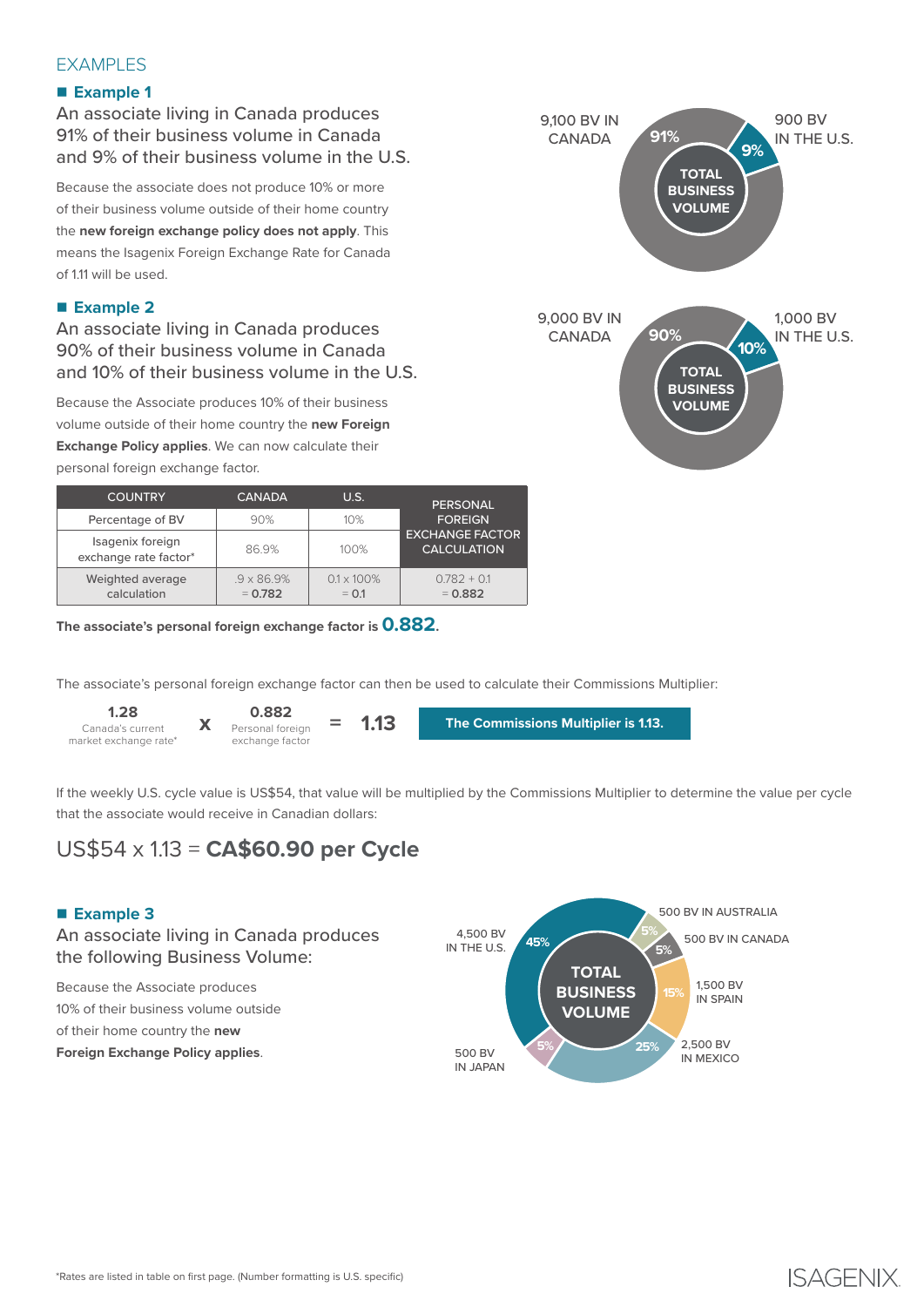## EXAMPLES

## n **Example 1**

An associate living in Canada produces 91% of their business volume in Canada and 9% of their business volume in the U.S.

Because the associate does not produce 10% or more of their business volume outside of their home country the **new foreign exchange policy does not apply**. This means the Isagenix Foreign Exchange Rate for Canada of 1.11 will be used.

## ■ Example 2

An associate living in Canada produces 90% of their business volume in Canada and 10% of their business volume in the U.S.

Because the Associate produces 10% of their business volume outside of their home country the **new Foreign Exchange Policy applies**. We can now calculate their personal foreign exchange factor.

| <b>COUNTRY</b>                            | <b>CANADA</b>                   | U.S.                          | PERSONAL                                                       |  |
|-------------------------------------------|---------------------------------|-------------------------------|----------------------------------------------------------------|--|
| Percentage of BV                          | 90%                             | 10%                           | <b>FOREIGN</b><br><b>EXCHANGE FACTOR</b><br><b>CALCULATION</b> |  |
| Isagenix foreign<br>exchange rate factor* | 86.9%                           | 100%                          |                                                                |  |
| Weighted average<br>calculation           | $.9 \times 86.9\%$<br>$= 0.782$ | $0.1 \times 100\%$<br>$= 0.1$ | $0.782 + 0.1$<br>$= 0.882$                                     |  |

**The associate's personal foreign exchange factor is 0.882.**



**1.28** Canada's current **X** Personal foreign **= 1.13** market exchange rate\*

**0.882** Personal foreign exchange factor

**The Commissions Multiplier is 1.13.**

If the weekly U.S. cycle value is US\$54, that value will be multiplied by the Commissions Multiplier to determine the value per cycle that the associate would receive in Canadian dollars:

# US\$54 x 1.13 = **CA\$60.90 per Cycle**

## ■ Example 3

## An associate living in Canada produces the following Business Volume:

**x**

Because the Associate produces 10% of their business volume outside of their home country the **new Foreign Exchange Policy applies**.